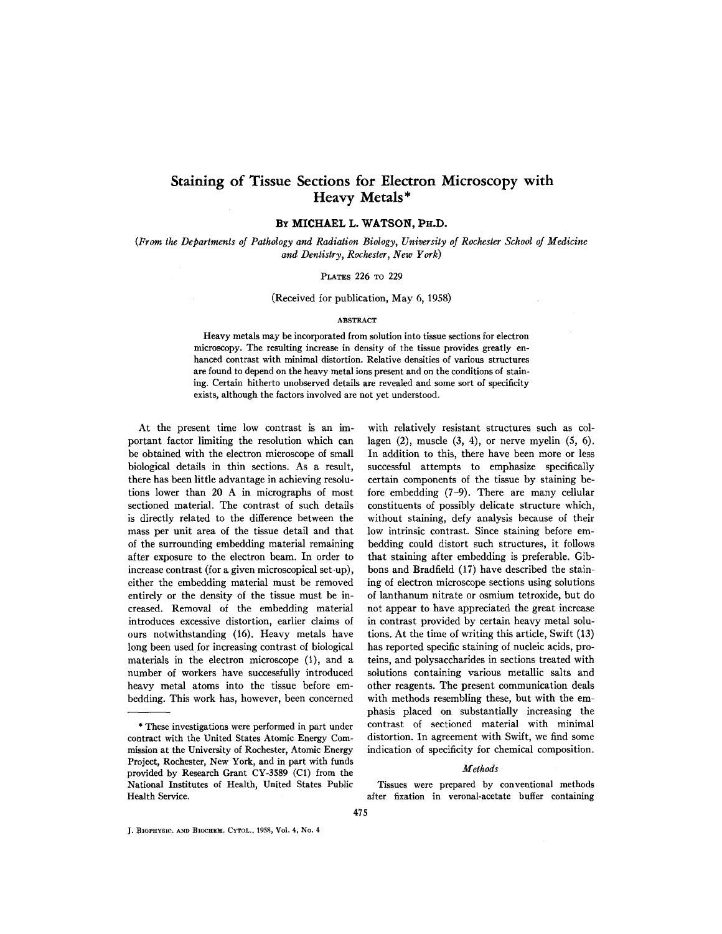# **Staining of Tissue Sections for Electron Microscopy with Heavy Metals\***

## **BY MICHAEL L. WATSON, PH.D.**

*(From the Departments of Pathology and Radiation Biology, University of Rochester School of Medicine and Dentistry, Rochester, New York)* 

### PLATES 226 TO 229

### (Received for publication, May 6, 1958)

### **ABSTRACT**

Heavy metals may be incorporated from solution into tissue sections for electron microscopy. The resulting increase in density of the tissue provides greatly enhanced contrast with minimal distortion. Relative densities of various structures are found to depend on the heavy metal ions present and on the conditions of staining. Certain hitherto unobserved details are revealed and some sort of specificity exists, although the factors involved are not yet understood.

At the present time low contrast is an important factor limiting the resolution which can be obtained with the electron microscope of small biological details in thin sections. As a result, there has been little advantage in achieving resolutions lower than 20 A in micrographs of most sectioned material. The contrast of such details is directly related to the difference between the mass per unit area of the tissue detail and that of the surrounding embedding material remaining after exposure to the electron beam. In order to increase contrast (for a given microscopical set-up), either the embedding material must be removed entirely or the density of the tissue must be increased. Removal of the embedding material introduces excessive distortion, earlier claims of ours notwithstanding (16). Heavy metals have long been used for increasing contrast of biological materials in the electron microscope (1), and a number of workers have successfully introduced heavy metal atoms into the tissue before embedding. This work has, however, been concerned

with relatively resistant structures such as collagen  $(2)$ , muscle  $(3, 4)$ , or nerve myelin  $(5, 6)$ . In addition to this, there have been more or less successful attempts to emphasize specifically certain components of the tissue by staining before embedding (7-9). There are many cellular constituents of possibly delicate structure which, without staining, defy analysis because of their low intrinsic contrast. Since staining before embedding could distort such structures, it follows that staining after embedding is preferable. Gibbons and Bradfield (17) have described the staining of electron microscope sections using solutions of lanthanum nitrate or osmium tetroxide, but do not appear to have appreciated the great increase in contrast provided by certain heavy metal solutions. At the time of writing this article, Swift (13) has reported specific staining of nucleic acids, proteins, and polysaccharides in sections treated with solutions containing various metallic salts and other reagents. The present communication deals with methods resembling these, but with the emphasis placed on substantially increasing the contrast of sectioned material with minimal distortion. In agreement with Swift, we find some indication of specificity for chemical composition.

### *Methods*

Tissues were prepared by conventional methods after fixation in veronal-acetate buffer containing

<sup>\*</sup> These investigations were performed in part under contract with the United States Atomic Energy Commission at the University of Rochester, Atomic Energy Project, Rochester, New York, and in part with funds provided by Research Grant CY-3589 (C1) from the National Institutes of Health, United States Public Health Service.

J. BIOPHYSIC. AND BIOCHEM. CYTOL., 1958, Vol. 4, No. 4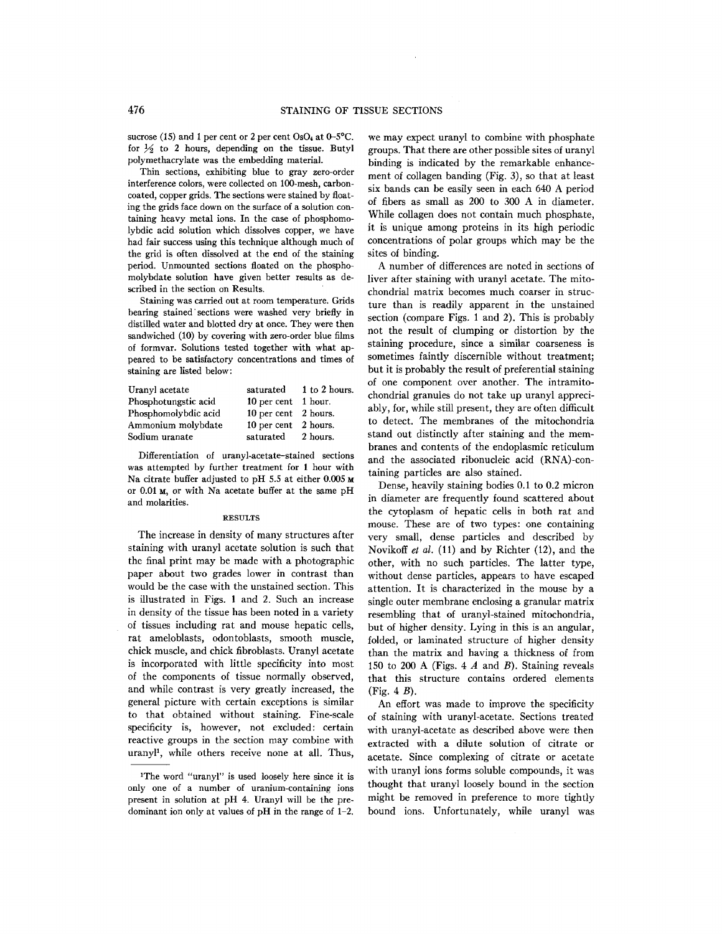sucrose (15) and 1 per cent or 2 per cent  $OsO<sub>4</sub>$  at  $0-5^{\circ}C$ . for  $\frac{1}{2}$  to 2 hours, depending on the tissue. Butyl polymethacrylate was the embedding material.

Thin sections, exhibiting blue to gray zero-order interference colors, were collected on 100-mesh, carboncoated, copper grids. The sections were stained by floating the grids face down on the surface of a solution containing heavy metal ions. In the case of phosphomolybdic acid solution which dissolves copper, we have had fair success using this technique although much of the grid is often dissolved at the end of the staining period. Unmounted sections floated on the phosphomolybdate solution have given better results as described in the section on Results.

Staining was carried out at room temperature. Grids bearing stained'sections were washed very briefly in distilled water and blotted dry at once. They were then sandwiched (10) by covering with zero-order blue films of formvar. Solutions tested together with what appeared to be satisfactory concentrations and times of staining are listed below:

| Uranyl acetate       | saturated            | 1 to 2 hours. |
|----------------------|----------------------|---------------|
| Phosphotungstic acid | 10 per cent 1 hour.  |               |
| Phosphomolybdic acid | 10 per cent 2 hours. |               |
| Ammonium molybdate   | 10 per cent 2 hours. |               |
| Sodium uranate       | saturated 2 hours.   |               |

Differentiation of uranyl-acetate-stained sections was attempted by further treatment for 1 hour with Na citrate buffer adjusted to pH 5.5 at either 0.005 M or 0.01 M, or with Na acetate buffer at the same pH and molarities.

### RESULTS

The increase in density of many structures after staining with uranyl acetate solution is such that the final print may be made with a photographic paper about two grades lower in contrast than would be the case with the unstained section. This is illustrated in Figs. 1 and 2. Such an increase in density of the tissue has been noted in a variety of tissues including rat and mouse hepatic cells, rat ameloblasts, odontoblasts, smooth muscle, chick muscle, and chick fibroblasts. Uranyl acetate is incorporated with little specificity into most of the components of tissue normally observed, and while contrast is very greatly increased, the general picture with certain exceptions is similar to that obtained without staining. Fine-scale specificity is, however, not excluded: certain reactive groups in the section may combine with urany<sup>11</sup>, while others receive none at all. Thus,

we may expect uranyl to combine with phosphate groups. That there are other possible sites of uranyl binding is indicated by the remarkable enhancement of collagen banding (Fig. 3), so that at least six bands can be easily seen in each 640 A period of fibers as small as 200 to 300 A in diameter. While collagen does not contain much phosphate, it is unique among proteins in its high periodic concentrations of polar groups which may be the sites of binding.

A number of differences are noted in sections of liver after staining with uranyl acetate. The mitochondrial matrix becomes much coarser in structure than is readily apparent in the unstained section (compare Figs. 1 and 2). This is probably not the result of clumping or distortion by the staining procedure, since a similar coarseness is sometimes faintly discernible without treatment; but it is probably the result of preferential staining of one component over another. The intramitochondrial granules do not take up uranyl appreciably, for, while still present, they are often difficult to detect. The membranes of the mitochondria stand out distinctly after staining and the membranes and contents of the endoplasmic reticulum and the associated ribonucleic acid (RNA)-containing particles are also stained.

Dense, heavily staining bodies 0.1 to 0.2 micron in diameter are frequently found scattered about the cytoplasm of hepatic cells in both rat and mouse. These are of two types: one containing very small, dense particles and described by Novikoff et *al.* (11) and by Richter (12), and the other, with no such particles. The latter type, without dense particles, appears to have escaped attention. It is characterized in the mouse by a single outer membrane enclosing a granular matrix resembling that of uranyl-stained mitochondria, but of higher density. Lying in this is an angular, folded, or laminated structure of higher density than the matrix and having a thickness of from 150 to 200 A (Figs. 4  $A$  and  $B$ ). Staining reveals that this structure contains ordered elements  $(Fig. 4 B)$ .

An effort was made to improve the specificity of staining with uranyl-acetate. Sections treated with uranyl-acetate as described above were then extracted with a dilute solution of citrate or acetate. Since complexing of citrate or acetate with uranyl ions forms soluble compounds, it was thought that uranyl loosely bound in the section might be removed in preference to more tightly bound ions. Unfortunately, while uranyl was

<sup>1</sup>The word "uranyl" is used loosely here since it is only one of a number of uranium-containing ions present in solution at pH 4. Uranyl will be the predominant ion only at values of pH in the range of 1-2.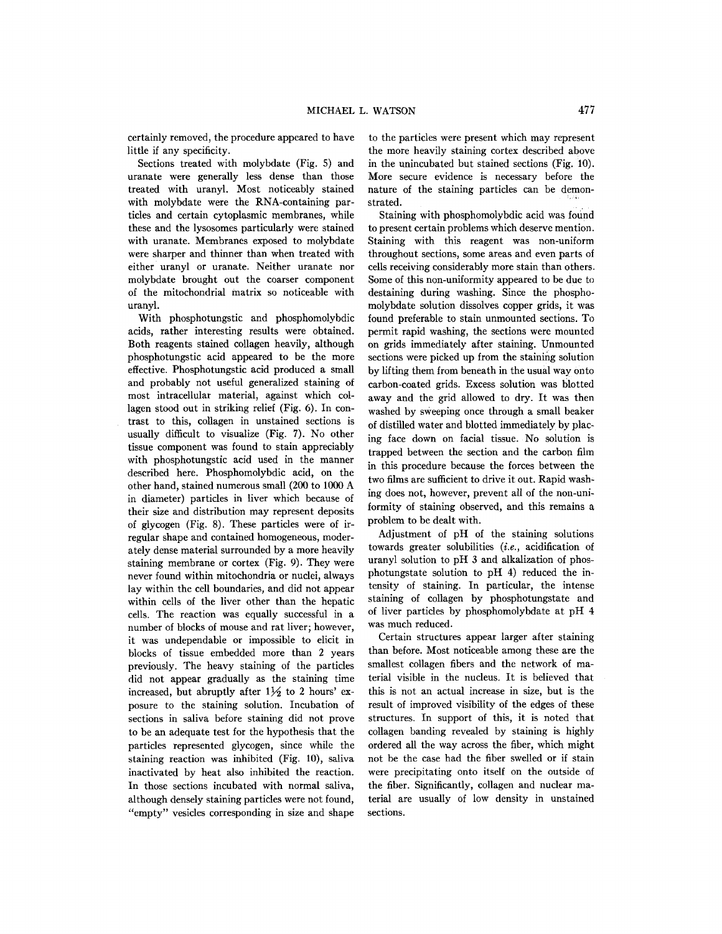certainly removed, the procedure appeared to have little if any specificity.

Sections treated with molybdate (Fig. 5) and uranate were generally less dense than those treated with uranyl. Most noticeably stained with molybdate were the RNA-containing particles and certain cytoplasmic membranes, while these and the lysosomes particularly were stained with uranate. Membranes exposed to molybdate were sharper and thinner than when treated with either uranyl or uranate. Neither uranate nor molybdate brought out the coarser component of the mitochondrial matrix so noticeable with uranyl.

With phosphotungstic and phosphomolybdic acids, rather interesting results were obtained. Both reagents stained collagen heavily, although phosphotungstic acid appeared to be the more effective. Phosphotungstic acid produced a small and probably not useful generalized staining of most intracellular material, against which collagen stood out in striking relief (Fig. 6). In contrast to this, collagen in unstained sections is usually difficult to visualize (Fig. 7). No other tissue component was found to stain appreciably with phosphotungstic acid used in the manner described here. Phosphomolybdic acid, on the other hand, stained numerous small (200 to 1000 A in diameter) partides in liver which because of their size and distribution may represent deposits of glycogen (Fig. 8). These particles were of irregular shape and contained homogeneous, moderately dense material surrounded by a more heavily staining membrane or cortex (Fig. 9). They were never found within mitochondria or nuclei, always lay within the cell boundaries, and did not appear within ceils of the liver other than the hepatic cells. The reaction was equally successful in a number of blocks of mouse and rat liver; however, it was undependable or impossible to elicit in blocks of tissue embedded more than 2 years previously. The heavy staining of the particles did not appear gradually as the staining time increased, but abruptly after  $1\frac{1}{2}$  to 2 hours' exposure to the staining solution. Incubation of sections in saliva before staining did not prove to be an adequate test for the hypothesis that the partides represented glycogen, since while the staining reaction was inhibited (Fig. 10), saliva inactivated by heat also inhibited the reaction. In those sections incubated with normal saliva, although densely staining particles were not found, "empty" vesicles corresponding in size and shape

to the particles were present which may represent the more heavily staining cortex described above in the unincubated but stained sections (Fig.  $10$ ). More secure evidence is necessary before the nature of the staining particles can be demonstrated.

Staining with phosphomolybdic acid was found to present certain problems which deserve mention. Staining with this reagent was non-uniform throughout sections, some areas and even parts of cells receiving considerably more stain than others. Some of this non-uniformity appeared to be due to destaining during washing. Since the phosphomolybdate solution dissolves copper grids, it was found preferable to stain unmounted sections. To permit rapid washing, the sections were mounted on grids immediately after staining. Unmounted sections were picked up from the staining solution by lifting them from beneath in the usual way onto carbon-coated grids. Excess solution was blotted away and the grid allowed to dry. It was then washed by sweeping once through a small beaker of distilled water and blotted immediately by placing face down on facial tissue. No solution is trapped between the section and the carbon film in this procedure because the forces between the two films are sufficient to drive it out. Rapid washing does not, however, prevent all of the non-uniformity of staining observed, and this remains a problem to be dealt with.

Adjustment of pH of the staining solutions towards greater solubilities *(i.e.,* acidification of uranyl solution to pH 3 and alkalization of phosphotungstate solution to pH 4) reduced the intensity of staining. In particular, the intense staining of collagen by phosphotungstate and of liver particles by phosphomolybdate at pH 4 was much reduced.

Certain structures appear larger after staining than before. Most noticeable among these are the smallest collagen fibers and the network of material visible in the nucleus. It is believed that this is not an actual increase in size, but is the result of improved visibility of the edges of these structures. In support of this, it is noted that collagen banding revealed by staining is highly ordered all the way across the fiber, which might not be the case had the fiber swelled or if stain were precipitating onto itself on the outside of the fiber. Significantly, collagen and nuclear material are usually of low density in unstained sections.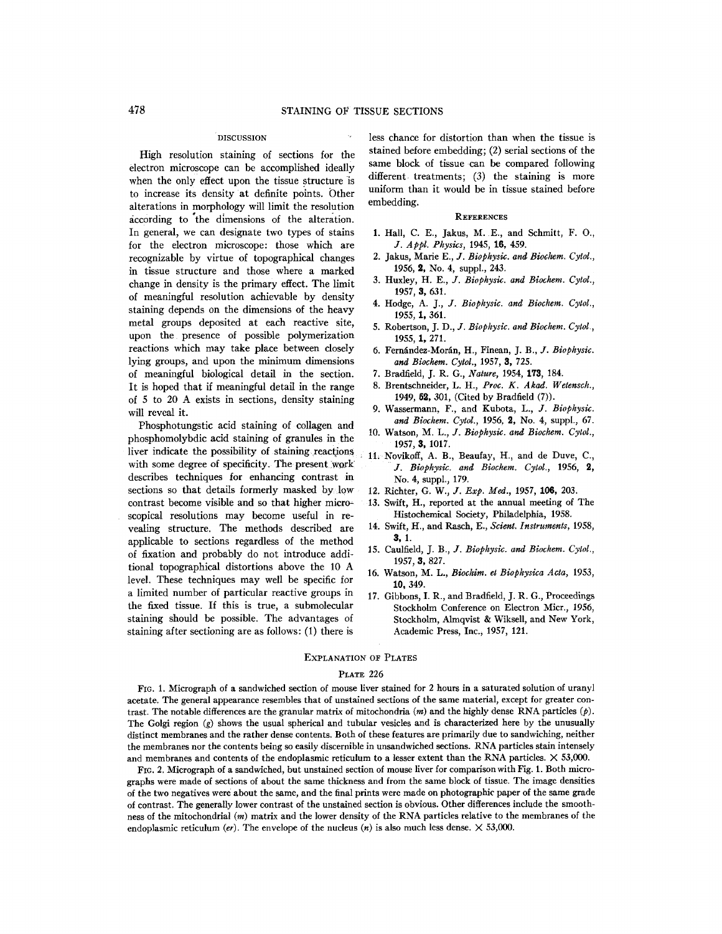### DISCUSSION

High resolution staining of sections for the electron microscope can be accomplished ideally when the only effect upon the tissue structure is to increase its density at definite points. Other alterations in morphology will limit the resolution according to the dimensions of the alteration. In general, we can designate two types of stains for the electron microscope: those which are recognizable by virtue of topographical changes in tissue structure and those where a marked change in density is the primary effect. The limit of meaningful resolution achievable by density staining depends on the dimensions of the heavy metal groups deposited at each reactive site, upon the presence of possible polymerization reactions which may take place between closely lying groups, and upon the minimum dimensions of meaningful biological detail in the section. It is hoped that if meaningful detail in the range of 5 to 20 A exists in sections, density staining will reveal it.

Phosphotungstic acid staining of collagen and phosphomolybdic acid staining of granules in the liver indicate the possibility of staining reactions with some degree of specificity. The present work describes techniques for enhancing contrast in sections so that details formerly masked by low contrast become visible and so that higher microscopical resolutions may become useful in revealing structure. The methods described are applicable to sections regardless of the method of fixation and probably do not introduce additional topographical distortions above the 10 A level. These techniques may well be specific for a limited number of particular reactive groups in the fixed tissue. If this is true, a submolecular staining should be possible. The advantages of staining after sectioning are as follows: (1) there is less chance for distortion than when the tissue is stained before embedding; (2) serial sections of the same block of tissue can be compared following different treatments;  $(3)$  the staining is more uniform than it would be in tissue stained before embedding.

#### **REFERENCES**

- 1. Hall, C. E., Jakus, M. E., and Schmitt, F. O., *J. Appl. Physics,* 1945, 16, 459.
- 2. Jakus, Marie *E., J. Biophysic. and Biovhem. Cytol.,*  1956, 2, No. 4, suppl., 243.
- 3. Huxley, *H. E., J. Biophysic. and Biochem. Cytol.,*  1957, 3, 631.
- 4. Hedge, *A. J., J. Biophysic. and Biochem. CytoL,*  1955, 1, 361.
- 5. Robertson, *J. D., J. Biophysic. and Biochem. Cytol.,*  1955, 1, 271.
- 6. Fern~ndez-Mor~n, H., Finean, *J. B., J. Biophysic. and Biochem. Cytol.,* 1957, 3, 725.
- 7. Bradfield, J. R. G., *Nature,* 1954, 173, 184.
- 8. Brentschneider, L. H., *Proc. K. Akad. Wetensch.,*  1949, 52, 301, (Cited by Bradfield (7)).
- 9. Wassermann, F., and Kubota, *L., J. Biopkysic. and Biochem. Cytol.,* 1956, 2, No. 4, suppl., 67.
- t0. Watson, *M. L., J. Biophysic. and Biochem. Cytol.,*  1957, 3, 1017.
- 11. Novikoff, A. B., Beaufay, H., and de Duve, C., *J. Biophysic. and Biochem. Cytol.,* 1956, 2, No. 4, suppl., 179.
- 12. Richter, *G. W., J. Exp. Med.,* 1957, 106, 203.
- 13. Swift, H., reported at the annual meeting of The Ristochemical Society, Philadelphia, 1958.
- 14. Swift, H., and Rasch, E., *Scient. Instruments,* 1958, **3,** 1.
- 15. Caulfield, J. *B., J. Biophysic. and Biochem. Cytol.,*  1957, 3, 827.
- 16. Watson, M. L., *Biochim. el Biophysica Acta,* 1953, 10, 349.
- 17. Gibbons, I. R., and Bradfield, J. R. G., Proceedings Stockholm Conference on Electron Micr., 1956, Stockholm, Almqvist & Wiksell, and New York, Academic Press, Inc., 1957, 121.

### EXPLANATION OF PLATES

#### PLATE 226

FIO. 1. Micrograph of a sandwiched section of mouse liver stained for 2 hours in a saturated solution of uranyl acetate. The general appearance resembles that of unstained sections of the same material, except for greater contrast. The notable differences are the granular matrix of mitochondria  $(m)$  and the highly dense RNA particles  $(p)$ . The Golgi region (g) shows the usual spherical and tubular vesicles and is characterized here by the unusually distinct membranes and the rather dense contents. Both of these features are primarily due to sandwiching, neither the membranes nor the contents being so easily discernible in unsandwiched sections. RNA particles stain intensely and membranes and contents of the endoplasmic reticulum to a lesser extent than the RNA particles. X 53,000.

FIG. 2. Micrograph of a sandwiched, but unstained section of mouse liver for comparison with Fig. 1. Both micrographs were made of sections of about the same thickness and from the same block of tissue. The image densities of the two negatives were about the same, and the final prints were made on photographic paper of the same grade of contrast. The generally lower contrast of the unstained section is obvious. Other differences include the smoothness of the mitochondrial (m) matrix and the lower density of the RNA particles relative to the membranes of the endoplasmic reticulum *(er)*. The envelope of the nucleus (*n*) is also much less dense.  $\times$  53,000.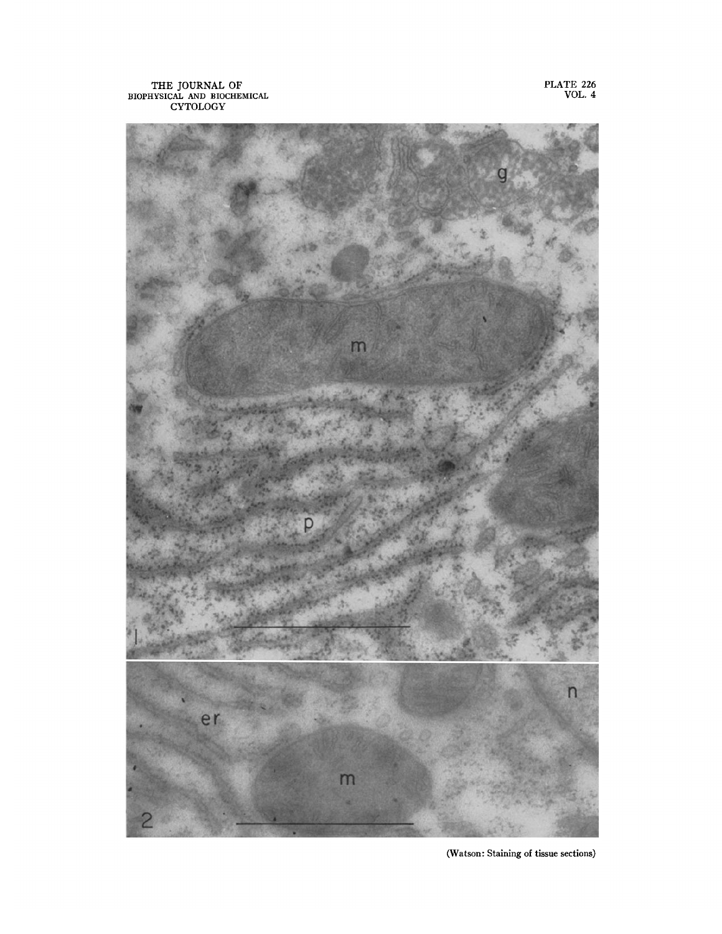**THE JOURNAL OF** BIOPHYSICAL AND BIOCHEMICAL CYTOLOGY

PLATE 226 VOL. 4



(Watson: Staining of tissue sections)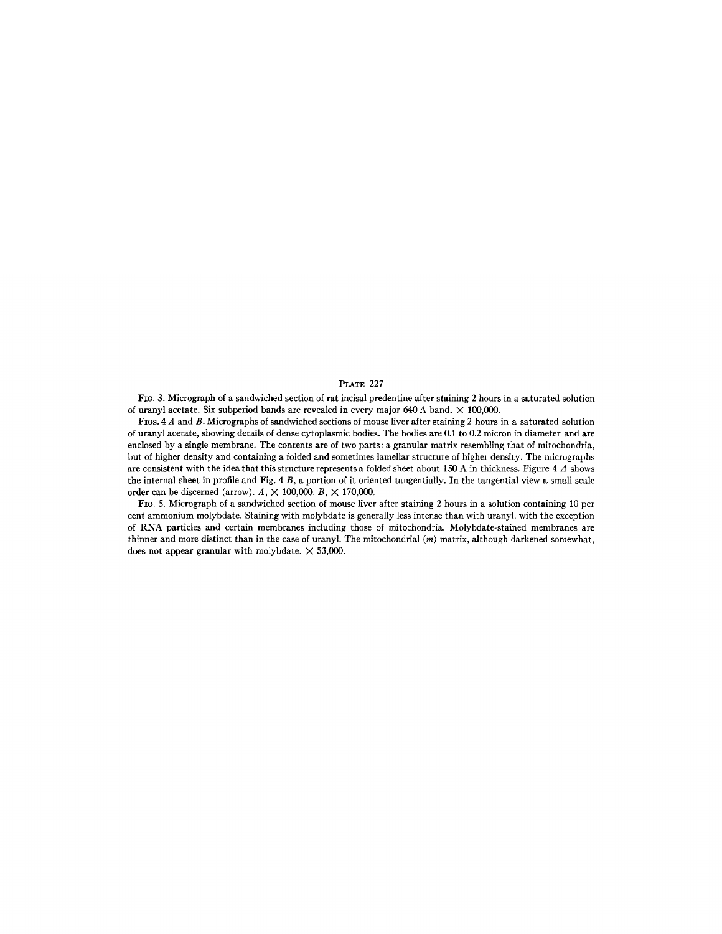### **PLATE 227**

Fro. 3. Micrograph of a sandwiched section of rat incisal predentine after staining 2 hours in a saturated solution of uranyl acetate. Six subperiod bands are revealed in every major 640 A band.  $\times$  100,000.

FIGS. 4 A and B. Micrographs of sandwiched sections of mouse liver after staining 2 hours in a saturated solution of uranyl acetate, showing details of dense cytoplasmic bodies. The bodies are 0.1 to 0.2 micron in diameter and are enclosed by a single membrane. The contents are of two parts: a granular matrix resembling that of mitochondria, but of higher density and containing a folded and sometimes lamellar structure of higher density. The micrographs are consistent with the idea that this structure represents a folded sheet about 150 A in thickness. Figure 4 A shows the internal sheet in profile and Fig.  $4B$ , a portion of it oriented tangentially. In the tangential view a small-scale order can be discerned (arrow).  $A$ ,  $\times$  100,000.  $B$ ,  $\times$  170,000.

FIG. 5. Micrograph of a sandwiched section of mouse liver after staining 2 hours in a solution containing 10 per cent ammonium molybdate. Staining with molybdate is generally less intense than with uranyl, with the exception of RNA particles and certain membranes including those of mitochondria. Molyhdate-stained membranes are thinner and more distinct than in the case of uranyl. The mitochondriai (m) matrix, although darkened somewhat, does not appear granular with molybdate.  $\times$  53,000.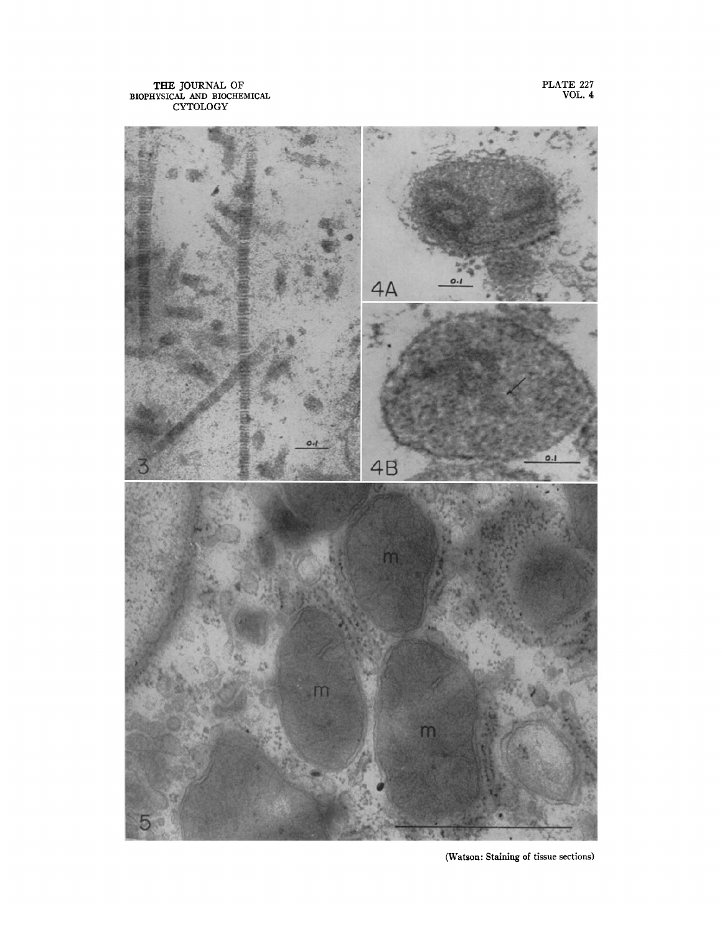THE JOURNAL OF BIOPHYSICAL AND BIOCHEMICAL CYTOLOGY



(Watson: Staining of tissue sections)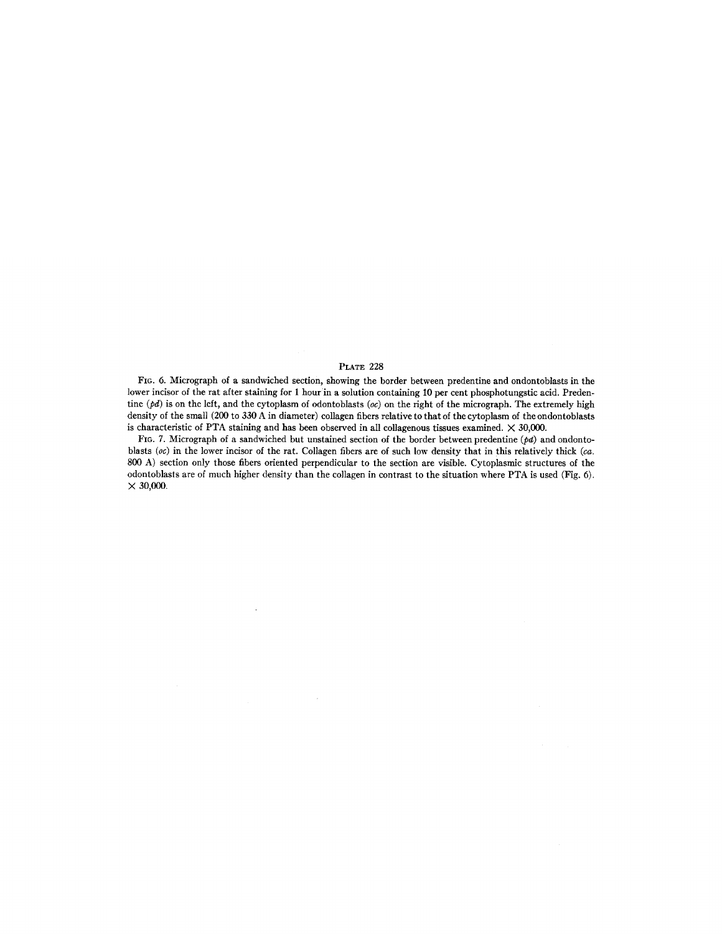#### PLATE 228

FIC. 6. Micrograph of a sandwiched section, showing the border between predentine and ondontoblasts in the Fig. 6. Micrograph of a sandwiched section, showing the border between predentine and ondomobiasts in the lower incisor of the rat after staining for 1 hour in a solution containing 10 per cent phosphotungstic acid. Predentine ( $pd$ ) is on the left, and the cytoplasm of odontoblasts ( $oc$ ) on the right of the micrograph. The extremely high density of the small  $(200$  to  $330$  A in diameter) collagen fibers relative to that of the cytoplasm of the ondontoblasts is characteristic of PTA staining and has been observed in all collagenous tissues examined.  $\times$  30,000.

FIG. 7. Micrograph of a sandwiched but unstained section of the border between predentine (pd) and ondontoblasts  $(oc)$  in the lower incisor of the rat. Collagen fibers are of such low density that in this relatively thick  $(ca$ . 800 A) section only those fibers oriented perpendicular to the section are visible. Cytoplasmic structures of the odontoblasts are of much higher density than the collagen in contrast to the situation where PTA is used (Fig. 6).  $\times$  30,000.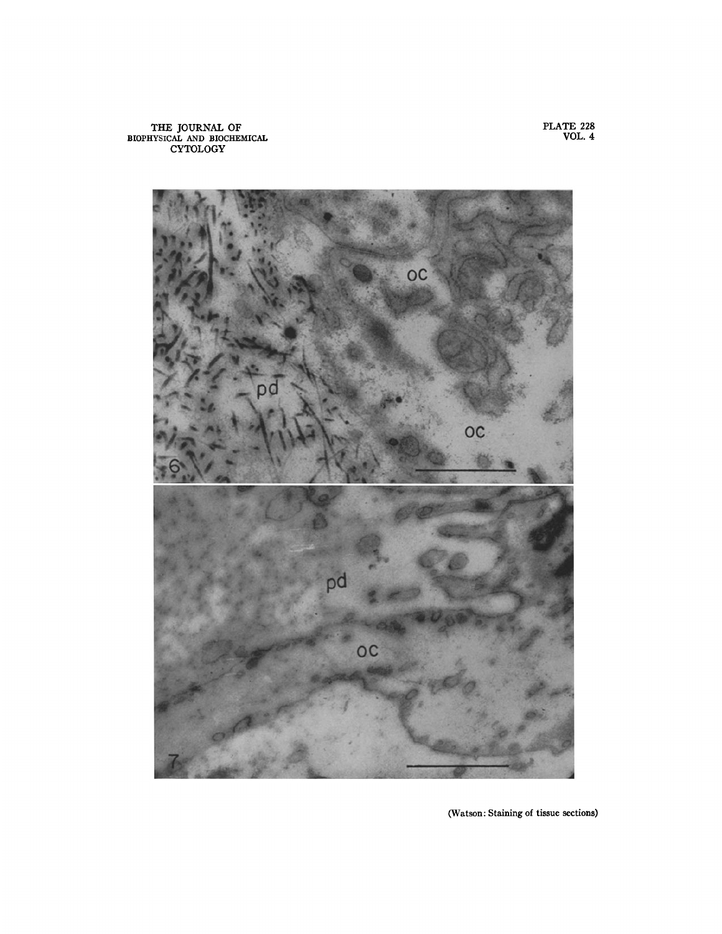PLATE 228 VOL. 4

THE JOURNAL OF BIOPHYSICAL AND BIOCHEMICAL CYTOLOGY



(Watson: Staining of tissue sections)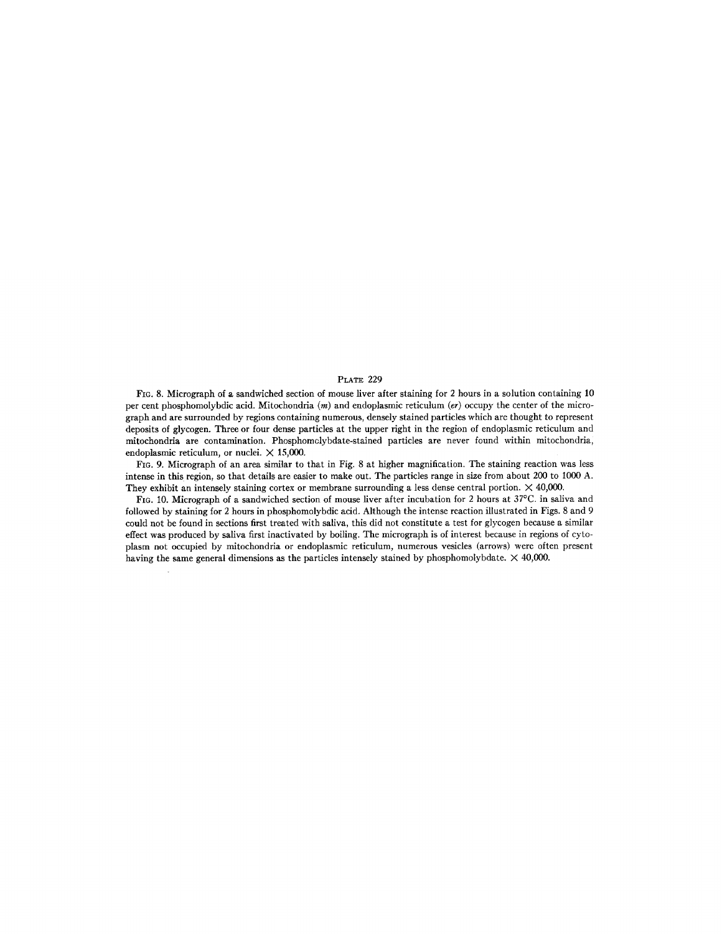#### **PLATE 229**

FIG. 8. Micrograph of a sandwiched section of mouse liver after staining for 2 hours in a solution containing 10 per cent phosphomolybdic acid. Mitochondria (m) and endoplasmic reticulum *(er)* occupy the center of the micrograph and are surrounded by regions containing numerous, densely stained particles which are thought to represent deposits of glycogen. Three or four dense particles at the upper right in the region of endoplasmic reticulum and mitochondria are contamination. Phosphomclybdate-stained particles are never found within mitochondria, endoplasmic reticulum, or nuclei.  $\times$  15,000.

FIG. 9. Micrograph of an area similar to that in Fig. 8 at higher magnification. The staining reaction was less intense in this region, so that details are easier to make out. The particles range in size from about 200 to 1000 A. They exhibit an intensely staining cortex or membrane surrounding a less dense central portion.  $\times$  40,000.

FIG. 10. Micrograph of a sandwiched section of mouse liver after incubation for 2 hours at 37°C. in saliva and followed by staining for 2 hours in phosphomolybdic acid. Although the intense reaction illustrated in Figs. 8 and 9 could not be found in sections first treated with saliva, this did not constitute a test for glycogen because a similar effect was produced by saliva first inactivated by boiling. The micrograph is of interest because in regions of cytoplasm not occupied by mitochondria or endoplasmic reticulum, numerous vesicles (arrows) were often present having the same general dimensions as the particles intensely stained by phosphomolybdate.  $\times$  40,000.